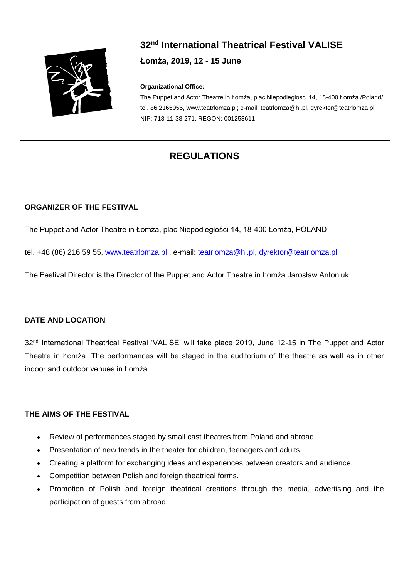

# **32nd International Theatrical Festival VALISE Łomża, 2019, 12 - 15 June**

#### **Organizational Office:**

The Puppet and Actor Theatre in Łomża, plac Niepodległości 14, 18-400 Łomża /Poland/ tel. 86 2165955, www.teatrlomza.pl; e-mail: teatrlomza@hi.pl, dyrektor@teatrlomza.pl NIP: 718-11-38-271, REGON: 001258611

## **REGULATIONS**

#### **ORGANIZER OF THE FESTIVAL**

The Puppet and Actor Theatre in Łomża, plac Niepodległości 14, 18-400 Łomża, POLAND

tel. +48 (86) 216 59 55, [www.teatrlomza.pl](http://www.teatrlomza.pl/) , e-mail: [teatrlomza@hi.pl,](mailto:teatrlomza@hi.pl) [dyrektor@teatrlomza.pl](mailto:dyrektor@teatrlomza.pl)

The Festival Director is the Director of the Puppet and Actor Theatre in Łomża Jarosław Antoniuk

#### **DATE AND LOCATION**

32<sup>nd</sup> International Theatrical Festival 'VALISE' will take place 2019, June 12-15 in The Puppet and Actor Theatre in Łomża. The performances will be staged in the auditorium of the theatre as well as in other indoor and outdoor venues in Łomża.

#### **THE AIMS OF THE FESTIVAL**

- Review of performances staged by small cast theatres from Poland and abroad.
- Presentation of new trends in the theater for children, teenagers and adults.
- Creating a platform for exchanging ideas and experiences between creators and audience.
- Competition between Polish and foreign theatrical forms.
- Promotion of Polish and foreign theatrical creations through the media, advertising and the participation of guests from abroad.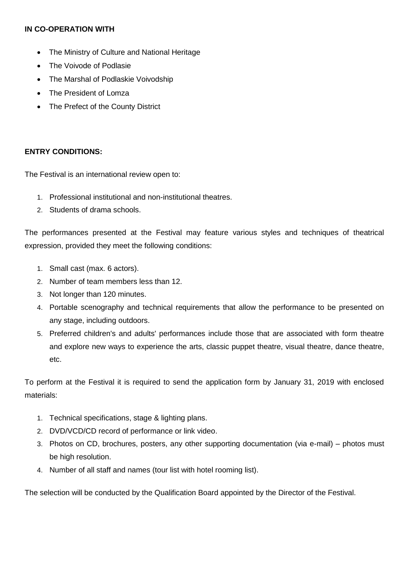#### **IN CO-OPERATION WITH**

- The Ministry of Culture and National Heritage
- The Voivode of Podlasie
- The Marshal of Podlaskie Voivodship
- The President of Lomza
- The Prefect of the County District

#### **ENTRY CONDITIONS:**

The Festival is an international review open to:

- 1. Professional institutional and non-institutional theatres.
- 2. Students of drama schools.

The performances presented at the Festival may feature various styles and techniques of theatrical expression, provided they meet the following conditions:

- 1. Small cast (max. 6 actors).
- 2. Number of team members less than 12.
- 3. Not longer than 120 minutes.
- 4. Portable scenography and technical requirements that allow the performance to be presented on any stage, including outdoors.
- 5. Preferred children's and adults' performances include those that are associated with form theatre and explore new ways to experience the arts, classic puppet theatre, visual theatre, dance theatre, etc.

To perform at the Festival it is required to send the application form by January 31, 2019 with enclosed materials:

- 1. Technical specifications, stage & lighting plans.
- 2. DVD/VCD/CD record of performance or link video.
- 3. Photos on CD, brochures, posters, any other supporting documentation (via e-mail) photos must be high resolution.
- 4. Number of all staff and names (tour list with hotel rooming list).

The selection will be conducted by the Qualification Board appointed by the Director of the Festival.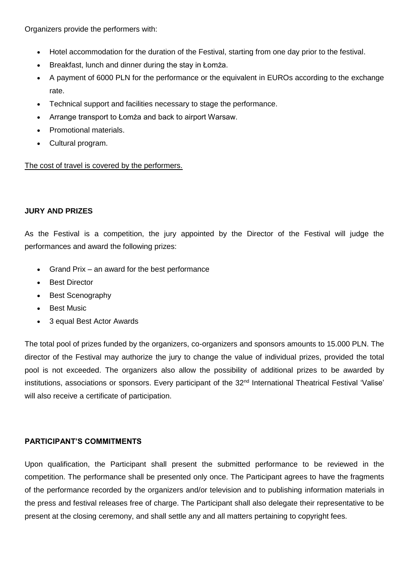Organizers provide the performers with:

- Hotel accommodation for the duration of the Festival, starting from one day prior to the festival.
- Breakfast, lunch and dinner during the stay in Łomża.
- A payment of 6000 PLN for the performance or the equivalent in EUROs according to the exchange rate.
- Technical support and facilities necessary to stage the performance.
- Arrange transport to Łomża and back to airport Warsaw.
- Promotional materials.
- Cultural program.

The cost of travel is covered by the performers.

#### **JURY AND PRIZES**

As the Festival is a competition, the jury appointed by the Director of the Festival will judge the performances and award the following prizes:

- Grand Prix an award for the best performance
- **Best Director**
- Best Scenography
- **Best Music**
- 3 equal Best Actor Awards

The total pool of prizes funded by the organizers, co-organizers and sponsors amounts to 15.000 PLN. The director of the Festival may authorize the jury to change the value of individual prizes, provided the total pool is not exceeded. The organizers also allow the possibility of additional prizes to be awarded by institutions, associations or sponsors. Every participant of the 32<sup>nd</sup> International Theatrical Festival 'Valise' will also receive a certificate of participation.

### **PARTICIPANT'S COMMITMENTS**

Upon qualification, the Participant shall present the submitted performance to be reviewed in the competition. The performance shall be presented only once. The Participant agrees to have the fragments of the performance recorded by the organizers and/or television and to publishing information materials in the press and festival releases free of charge. The Participant shall also delegate their representative to be present at the closing ceremony, and shall settle any and all matters pertaining to copyright fees.